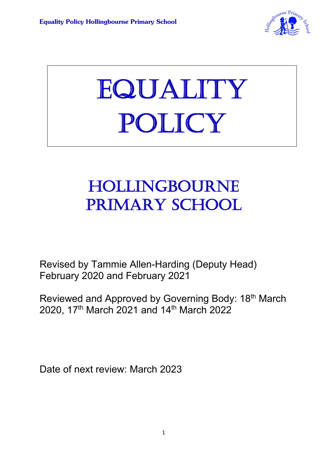

# EQUALITY POLICY

# HOLLINGBOURNE PRIMARY SCHOOL

 $\overline{a}$ 

Revised by Tammie Allen-Harding (Deputy Head) February 2020 and February 2021

Reviewed and Approved by Governing Body: 18<sup>th</sup> March 2020, 17th March 2021 and 14th March 2022

Date of next review: March 2023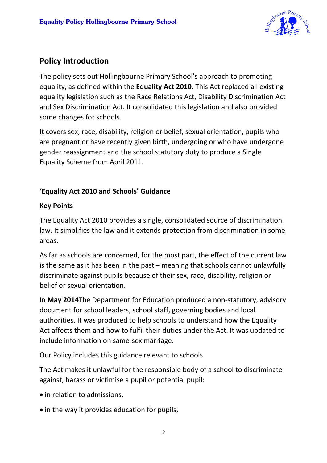

# **Policy Introduction**

The policy sets out Hollingbourne Primary School's approach to promoting equality, as defined within the **Equality Act 2010.** This Act replaced all existing equality legislation such as the Race Relations Act, Disability Discrimination Act and Sex Discrimination Act. It consolidated this legislation and also provided some changes for schools.

It covers sex, race, disability, religion or belief, sexual orientation, pupils who are pregnant or have recently given birth, undergoing or who have undergone gender reassignment and the school statutory duty to produce a Single Equality Scheme from April 2011.

#### **'Equality Act 2010 and Schools' Guidance**

#### **Key Points**

The Equality Act 2010 provides a single, consolidated source of discrimination law. It simplifies the law and it extends protection from discrimination in some areas.

As far as schools are concerned, for the most part, the effect of the current law is the same as it has been in the past – meaning that schools cannot unlawfully discriminate against pupils because of their sex, race, disability, religion or belief or sexual orientation.

In **May 2014**The Department for Education produced a non-statutory, advisory document for school leaders, school staff, governing bodies and local authorities. It was produced to help schools to understand how the Equality Act affects them and how to fulfil their duties under the Act. It was updated to include information on same-sex marriage.

Our Policy includes this guidance relevant to schools.

The Act makes it unlawful for the responsible body of a school to discriminate against, harass or victimise a pupil or potential pupil:

- in relation to admissions,
- in the way it provides education for pupils,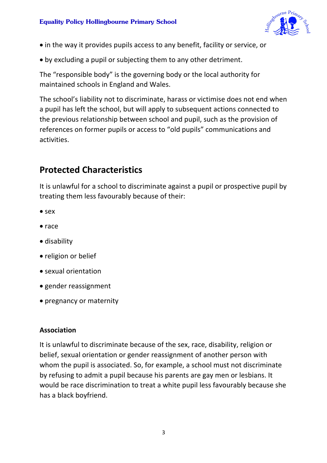

- in the way it provides pupils access to any benefit, facility or service, or
- by excluding a pupil or subjecting them to any other detriment.

The "responsible body" is the governing body or the local authority for maintained schools in England and Wales.

The school's liability not to discriminate, harass or victimise does not end when a pupil has left the school, but will apply to subsequent actions connected to the previous relationship between school and pupil, such as the provision of references on former pupils or access to "old pupils" communications and activities.

# **Protected Characteristics**

It is unlawful for a school to discriminate against a pupil or prospective pupil by treating them less favourably because of their:

- sex
- race
- disability
- religion or belief
- sexual orientation
- gender reassignment
- pregnancy or maternity

#### **Association**

It is unlawful to discriminate because of the sex, race, disability, religion or belief, sexual orientation or gender reassignment of another person with whom the pupil is associated. So, for example, a school must not discriminate by refusing to admit a pupil because his parents are gay men or lesbians. It would be race discrimination to treat a white pupil less favourably because she has a black boyfriend.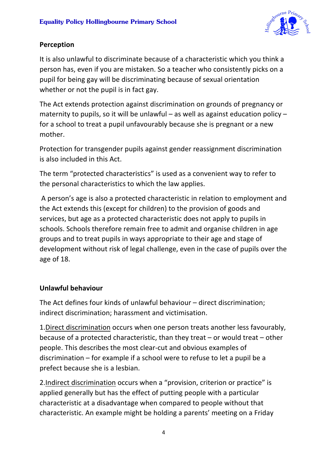

#### **Perception**

It is also unlawful to discriminate because of a characteristic which you think a person has, even if you are mistaken. So a teacher who consistently picks on a pupil for being gay will be discriminating because of sexual orientation whether or not the pupil is in fact gay.

The Act extends protection against discrimination on grounds of pregnancy or maternity to pupils, so it will be unlawful – as well as against education policy – for a school to treat a pupil unfavourably because she is pregnant or a new mother.

Protection for transgender pupils against gender reassignment discrimination is also included in this Act.

The term "protected characteristics" is used as a convenient way to refer to the personal characteristics to which the law applies.

A person's age is also a protected characteristic in relation to employment and the Act extends this (except for children) to the provision of goods and services, but age as a protected characteristic does not apply to pupils in schools. Schools therefore remain free to admit and organise children in age groups and to treat pupils in ways appropriate to their age and stage of development without risk of legal challenge, even in the case of pupils over the age of 18.

#### **Unlawful behaviour**

The Act defines four kinds of unlawful behaviour – direct discrimination; indirect discrimination; harassment and victimisation.

1.Direct discrimination occurs when one person treats another less favourably, because of a protected characteristic, than they treat – or would treat – other people. This describes the most clear-cut and obvious examples of discrimination – for example if a school were to refuse to let a pupil be a prefect because she is a lesbian.

2.Indirect discrimination occurs when a "provision, criterion or practice" is applied generally but has the effect of putting people with a particular characteristic at a disadvantage when compared to people without that characteristic. An example might be holding a parents' meeting on a Friday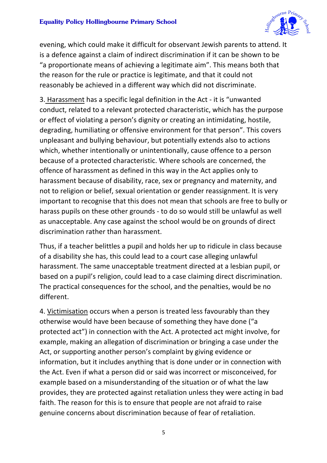

evening, which could make it difficult for observant Jewish parents to attend. It is a defence against a claim of indirect discrimination if it can be shown to be "a proportionate means of achieving a legitimate aim". This means both that the reason for the rule or practice is legitimate, and that it could not reasonably be achieved in a different way which did not discriminate.

3. Harassment has a specific legal definition in the Act - it is "unwanted conduct, related to a relevant protected characteristic, which has the purpose or effect of violating a person's dignity or creating an intimidating, hostile, degrading, humiliating or offensive environment for that person". This covers unpleasant and bullying behaviour, but potentially extends also to actions which, whether intentionally or unintentionally, cause offence to a person because of a protected characteristic. Where schools are concerned, the offence of harassment as defined in this way in the Act applies only to harassment because of disability, race, sex or pregnancy and maternity, and not to religion or belief, sexual orientation or gender reassignment. It is very important to recognise that this does not mean that schools are free to bully or harass pupils on these other grounds - to do so would still be unlawful as well as unacceptable. Any case against the school would be on grounds of direct discrimination rather than harassment.

Thus, if a teacher belittles a pupil and holds her up to ridicule in class because of a disability she has, this could lead to a court case alleging unlawful harassment. The same unacceptable treatment directed at a lesbian pupil, or based on a pupil's religion, could lead to a case claiming direct discrimination. The practical consequences for the school, and the penalties, would be no different.

4. Victimisation occurs when a person is treated less favourably than they otherwise would have been because of something they have done ("a protected act") in connection with the Act. A protected act might involve, for example, making an allegation of discrimination or bringing a case under the Act, or supporting another person's complaint by giving evidence or information, but it includes anything that is done under or in connection with the Act. Even if what a person did or said was incorrect or misconceived, for example based on a misunderstanding of the situation or of what the law provides, they are protected against retaliation unless they were acting in bad faith. The reason for this is to ensure that people are not afraid to raise genuine concerns about discrimination because of fear of retaliation.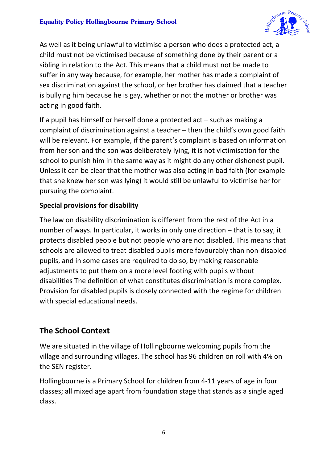#### **Equality Policy Hollingbourne Primary School**



As well as it being unlawful to victimise a person who does a protected act, a child must not be victimised because of something done by their parent or a sibling in relation to the Act. This means that a child must not be made to suffer in any way because, for example, her mother has made a complaint of sex discrimination against the school, or her brother has claimed that a teacher is bullying him because he is gay, whether or not the mother or brother was acting in good faith.

If a pupil has himself or herself done a protected act – such as making a complaint of discrimination against a teacher – then the child's own good faith will be relevant. For example, if the parent's complaint is based on information from her son and the son was deliberately lying, it is not victimisation for the school to punish him in the same way as it might do any other dishonest pupil. Unless it can be clear that the mother was also acting in bad faith (for example that she knew her son was lying) it would still be unlawful to victimise her for pursuing the complaint.

#### **Special provisions for disability**

The law on disability discrimination is different from the rest of the Act in a number of ways. In particular, it works in only one direction – that is to say, it protects disabled people but not people who are not disabled. This means that schools are allowed to treat disabled pupils more favourably than non-disabled pupils, and in some cases are required to do so, by making reasonable adjustments to put them on a more level footing with pupils without disabilities The definition of what constitutes discrimination is more complex. Provision for disabled pupils is closely connected with the regime for children with special educational needs.

#### **The School Context**

We are situated in the village of Hollingbourne welcoming pupils from the village and surrounding villages. The school has 96 children on roll with 4% on the SEN register.

Hollingbourne is a Primary School for children from 4-11 years of age in four classes; all mixed age apart from foundation stage that stands as a single aged class.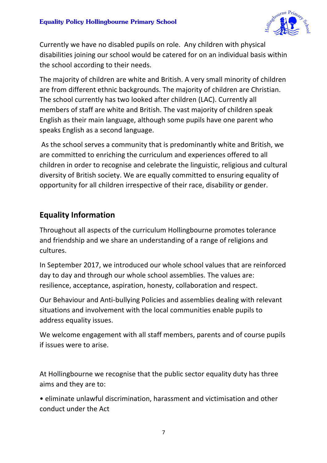

Currently we have no disabled pupils on role. Any children with physical disabilities joining our school would be catered for on an individual basis within the school according to their needs.

The majority of children are white and British. A very small minority of children are from different ethnic backgrounds. The majority of children are Christian. The school currently has two looked after children (LAC). Currently all members of staff are white and British. The vast majority of children speak English as their main language, although some pupils have one parent who speaks English as a second language.

As the school serves a community that is predominantly white and British, we are committed to enriching the curriculum and experiences offered to all children in order to recognise and celebrate the linguistic, religious and cultural diversity of British society. We are equally committed to ensuring equality of opportunity for all children irrespective of their race, disability or gender.

### **Equality Information**

Throughout all aspects of the curriculum Hollingbourne promotes tolerance and friendship and we share an understanding of a range of religions and cultures.

In September 2017, we introduced our whole school values that are reinforced day to day and through our whole school assemblies. The values are: resilience, acceptance, aspiration, honesty, collaboration and respect.

Our Behaviour and Anti-bullying Policies and assemblies dealing with relevant situations and involvement with the local communities enable pupils to address equality issues.

We welcome engagement with all staff members, parents and of course pupils if issues were to arise.

At Hollingbourne we recognise that the public sector equality duty has three aims and they are to:

• eliminate unlawful discrimination, harassment and victimisation and other conduct under the Act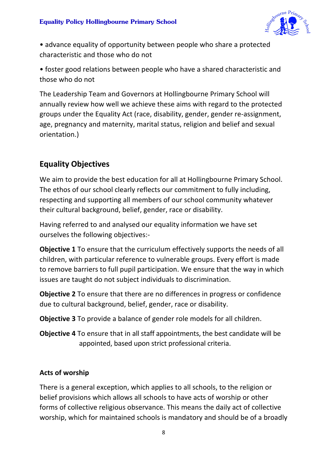

• advance equality of opportunity between people who share a protected characteristic and those who do not

• foster good relations between people who have a shared characteristic and those who do not

The Leadership Team and Governors at Hollingbourne Primary School will annually review how well we achieve these aims with regard to the protected groups under the Equality Act (race, disability, gender, gender re-assignment, age, pregnancy and maternity, marital status, religion and belief and sexual orientation.)

# **Equality Objectives**

We aim to provide the best education for all at Hollingbourne Primary School. The ethos of our school clearly reflects our commitment to fully including, respecting and supporting all members of our school community whatever their cultural background, belief, gender, race or disability.

Having referred to and analysed our equality information we have set ourselves the following objectives:-

**Objective 1** To ensure that the curriculum effectively supports the needs of all children, with particular reference to vulnerable groups. Every effort is made to remove barriers to full pupil participation. We ensure that the way in which issues are taught do not subject individuals to discrimination.

**Objective 2** To ensure that there are no differences in progress or confidence due to cultural background, belief, gender, race or disability.

**Objective 3** To provide a balance of gender role models for all children.

**Objective 4** To ensure that in all staff appointments, the best candidate will be appointed, based upon strict professional criteria.

#### **Acts of worship**

There is a general exception, which applies to all schools, to the religion or belief provisions which allows all schools to have acts of worship or other forms of collective religious observance. This means the daily act of collective worship, which for maintained schools is mandatory and should be of a broadly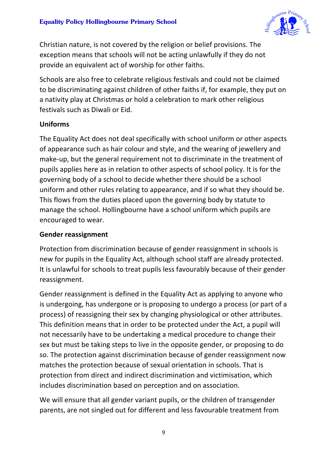

Christian nature, is not covered by the religion or belief provisions. The exception means that schools will not be acting unlawfully if they do not provide an equivalent act of worship for other faiths.

Schools are also free to celebrate religious festivals and could not be claimed to be discriminating against children of other faiths if, for example, they put on a nativity play at Christmas or hold a celebration to mark other religious festivals such as Diwali or Eid.

#### **Uniforms**

The Equality Act does not deal specifically with school uniform or other aspects of appearance such as hair colour and style, and the wearing of jewellery and make-up, but the general requirement not to discriminate in the treatment of pupils applies here as in relation to other aspects of school policy. It is for the governing body of a school to decide whether there should be a school uniform and other rules relating to appearance, and if so what they should be. This flows from the duties placed upon the governing body by statute to manage the school. Hollingbourne have a school uniform which pupils are encouraged to wear.

#### **Gender reassignment**

Protection from discrimination because of gender reassignment in schools is new for pupils in the Equality Act, although school staff are already protected. It is unlawful for schools to treat pupils less favourably because of their gender reassignment.

Gender reassignment is defined in the Equality Act as applying to anyone who is undergoing, has undergone or is proposing to undergo a process (or part of a process) of reassigning their sex by changing physiological or other attributes. This definition means that in order to be protected under the Act, a pupil will not necessarily have to be undertaking a medical procedure to change their sex but must be taking steps to live in the opposite gender, or proposing to do so. The protection against discrimination because of gender reassignment now matches the protection because of sexual orientation in schools. That is protection from direct and indirect discrimination and victimisation, which includes discrimination based on perception and on association.

We will ensure that all gender variant pupils, or the children of transgender parents, are not singled out for different and less favourable treatment from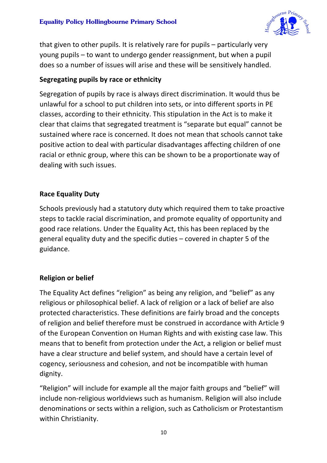

that given to other pupils. It is relatively rare for pupils – particularly very young pupils – to want to undergo gender reassignment, but when a pupil does so a number of issues will arise and these will be sensitively handled.

#### **Segregating pupils by race or ethnicity**

Segregation of pupils by race is always direct discrimination. It would thus be unlawful for a school to put children into sets, or into different sports in PE classes, according to their ethnicity. This stipulation in the Act is to make it clear that claims that segregated treatment is "separate but equal" cannot be sustained where race is concerned. It does not mean that schools cannot take positive action to deal with particular disadvantages affecting children of one racial or ethnic group, where this can be shown to be a proportionate way of dealing with such issues.

#### **Race Equality Duty**

Schools previously had a statutory duty which required them to take proactive steps to tackle racial discrimination, and promote equality of opportunity and good race relations. Under the Equality Act, this has been replaced by the general equality duty and the specific duties – covered in chapter 5 of the guidance.

#### **Religion or belief**

The Equality Act defines "religion" as being any religion, and "belief" as any religious or philosophical belief. A lack of religion or a lack of belief are also protected characteristics. These definitions are fairly broad and the concepts of religion and belief therefore must be construed in accordance with Article 9 of the European Convention on Human Rights and with existing case law. This means that to benefit from protection under the Act, a religion or belief must have a clear structure and belief system, and should have a certain level of cogency, seriousness and cohesion, and not be incompatible with human dignity.

"Religion" will include for example all the major faith groups and "belief" will include non-religious worldviews such as humanism. Religion will also include denominations or sects within a religion, such as Catholicism or Protestantism within Christianity.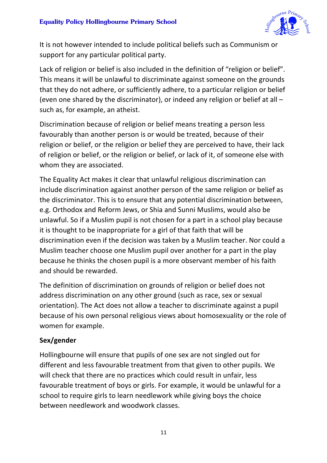

It is not however intended to include political beliefs such as Communism or support for any particular political party.

Lack of religion or belief is also included in the definition of "religion or belief". This means it will be unlawful to discriminate against someone on the grounds that they do not adhere, or sufficiently adhere, to a particular religion or belief (even one shared by the discriminator), or indeed any religion or belief at all – such as, for example, an atheist.

Discrimination because of religion or belief means treating a person less favourably than another person is or would be treated, because of their religion or belief, or the religion or belief they are perceived to have, their lack of religion or belief, or the religion or belief, or lack of it, of someone else with whom they are associated.

The Equality Act makes it clear that unlawful religious discrimination can include discrimination against another person of the same religion or belief as the discriminator. This is to ensure that any potential discrimination between, e.g. Orthodox and Reform Jews, or Shia and Sunni Muslims, would also be unlawful. So if a Muslim pupil is not chosen for a part in a school play because it is thought to be inappropriate for a girl of that faith that will be discrimination even if the decision was taken by a Muslim teacher. Nor could a Muslim teacher choose one Muslim pupil over another for a part in the play because he thinks the chosen pupil is a more observant member of his faith and should be rewarded.

The definition of discrimination on grounds of religion or belief does not address discrimination on any other ground (such as race, sex or sexual orientation). The Act does not allow a teacher to discriminate against a pupil because of his own personal religious views about homosexuality or the role of women for example.

#### **Sex/gender**

Hollingbourne will ensure that pupils of one sex are not singled out for different and less favourable treatment from that given to other pupils. We will check that there are no practices which could result in unfair, less favourable treatment of boys or girls. For example, it would be unlawful for a school to require girls to learn needlework while giving boys the choice between needlework and woodwork classes.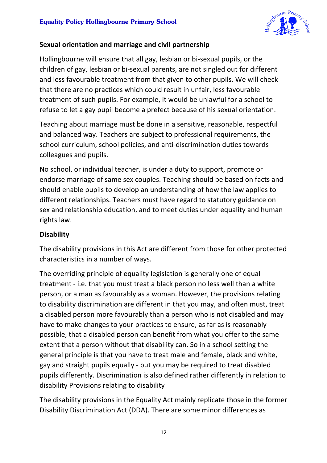

#### **Sexual orientation and marriage and civil partnership**

Hollingbourne will ensure that all gay, lesbian or bi-sexual pupils, or the children of gay, lesbian or bi-sexual parents, are not singled out for different and less favourable treatment from that given to other pupils. We will check that there are no practices which could result in unfair, less favourable treatment of such pupils. For example, it would be unlawful for a school to refuse to let a gay pupil become a prefect because of his sexual orientation.

Teaching about marriage must be done in a sensitive, reasonable, respectful and balanced way. Teachers are subject to professional requirements, the school curriculum, school policies, and anti-discrimination duties towards colleagues and pupils.

No school, or individual teacher, is under a duty to support, promote or endorse marriage of same sex couples. Teaching should be based on facts and should enable pupils to develop an understanding of how the law applies to different relationships. Teachers must have regard to statutory guidance on sex and relationship education, and to meet duties under equality and human rights law.

#### **Disability**

The disability provisions in this Act are different from those for other protected characteristics in a number of ways.

The overriding principle of equality legislation is generally one of equal treatment - i.e. that you must treat a black person no less well than a white person, or a man as favourably as a woman. However, the provisions relating to disability discrimination are different in that you may, and often must, treat a disabled person more favourably than a person who is not disabled and may have to make changes to your practices to ensure, as far as is reasonably possible, that a disabled person can benefit from what you offer to the same extent that a person without that disability can. So in a school setting the general principle is that you have to treat male and female, black and white, gay and straight pupils equally - but you may be required to treat disabled pupils differently. Discrimination is also defined rather differently in relation to disability Provisions relating to disability

The disability provisions in the Equality Act mainly replicate those in the former Disability Discrimination Act (DDA). There are some minor differences as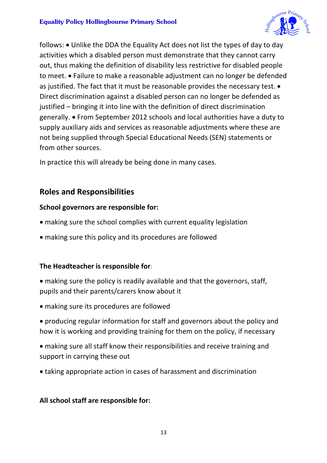

follows: • Unlike the DDA the Equality Act does not list the types of day to day activities which a disabled person must demonstrate that they cannot carry out, thus making the definition of disability less restrictive for disabled people to meet. • Failure to make a reasonable adjustment can no longer be defended as justified. The fact that it must be reasonable provides the necessary test. • Direct discrimination against a disabled person can no longer be defended as justified – bringing it into line with the definition of direct discrimination generally. • From September 2012 schools and local authorities have a duty to supply auxiliary aids and services as reasonable adjustments where these are not being supplied through Special Educational Needs (SEN) statements or from other sources.

In practice this will already be being done in many cases.

## **Roles and Responsibilities**

#### **School governors are responsible for:**

- making sure the school complies with current equality legislation
- making sure this policy and its procedures are followed

#### **The Headteacher is responsible for**:

- making sure the policy is readily available and that the governors, staff, pupils and their parents/carers know about it
- making sure its procedures are followed
- producing regular information for staff and governors about the policy and how it is working and providing training for them on the policy, if necessary
- making sure all staff know their responsibilities and receive training and support in carrying these out
- taking appropriate action in cases of harassment and discrimination

#### **All school staff are responsible for:**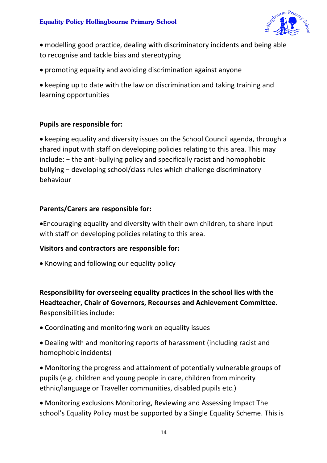

• modelling good practice, dealing with discriminatory incidents and being able to recognise and tackle bias and stereotyping

• promoting equality and avoiding discrimination against anyone

• keeping up to date with the law on discrimination and taking training and learning opportunities

#### **Pupils are responsible for:**

• keeping equality and diversity issues on the School Council agenda, through a shared input with staff on developing policies relating to this area. This may include: − the anti-bullying policy and specifically racist and homophobic bullying − developing school/class rules which challenge discriminatory behaviour

#### **Parents/Carers are responsible for:**

•Encouraging equality and diversity with their own children, to share input with staff on developing policies relating to this area.

#### **Visitors and contractors are responsible for:**

• Knowing and following our equality policy

**Responsibility for overseeing equality practices in the school lies with the Headteacher, Chair of Governors, Recourses and Achievement Committee.** Responsibilities include:

- Coordinating and monitoring work on equality issues
- Dealing with and monitoring reports of harassment (including racist and homophobic incidents)
- Monitoring the progress and attainment of potentially vulnerable groups of pupils (e.g. children and young people in care, children from minority ethnic/language or Traveller communities, disabled pupils etc.)
- Monitoring exclusions Monitoring, Reviewing and Assessing Impact The school's Equality Policy must be supported by a Single Equality Scheme. This is